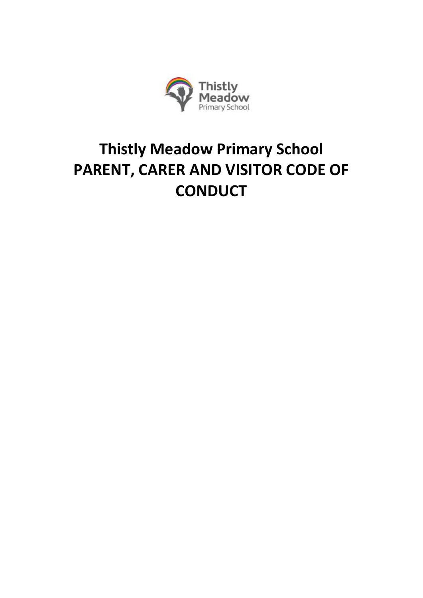

# **Thistly Meadow Primary School PARENT, CARER AND VISITOR CODE OF CONDUCT**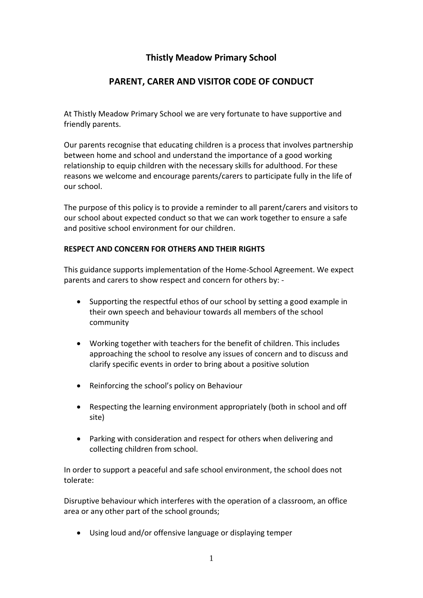# **Thistly Meadow Primary School**

## **PARENT, CARER AND VISITOR CODE OF CONDUCT**

At Thistly Meadow Primary School we are very fortunate to have supportive and friendly parents.

Our parents recognise that educating children is a process that involves partnership between home and school and understand the importance of a good working relationship to equip children with the necessary skills for adulthood. For these reasons we welcome and encourage parents/carers to participate fully in the life of our school.

The purpose of this policy is to provide a reminder to all parent/carers and visitors to our school about expected conduct so that we can work together to ensure a safe and positive school environment for our children.

#### **RESPECT AND CONCERN FOR OTHERS AND THEIR RIGHTS**

This guidance supports implementation of the Home-School Agreement. We expect parents and carers to show respect and concern for others by: -

- Supporting the respectful ethos of our school by setting a good example in their own speech and behaviour towards all members of the school community
- Working together with teachers for the benefit of children. This includes approaching the school to resolve any issues of concern and to discuss and clarify specific events in order to bring about a positive solution
- Reinforcing the school's policy on Behaviour
- Respecting the learning environment appropriately (both in school and off site)
- Parking with consideration and respect for others when delivering and collecting children from school.

In order to support a peaceful and safe school environment, the school does not tolerate:

Disruptive behaviour which interferes with the operation of a classroom, an office area or any other part of the school grounds;

Using loud and/or offensive language or displaying temper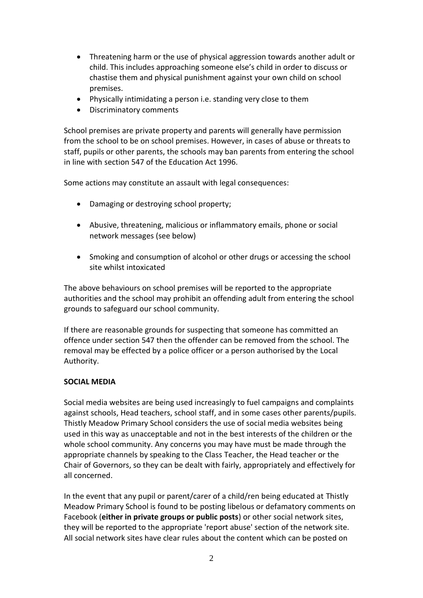- Threatening harm or the use of physical aggression towards another adult or child. This includes approaching someone else's child in order to discuss or chastise them and physical punishment against your own child on school premises.
- Physically intimidating a person i.e. standing very close to them
- Discriminatory comments

School premises are private property and parents will generally have permission from the school to be on school premises. However, in cases of abuse or threats to staff, pupils or other parents, the schools may ban parents from entering the school in line with section 547 of the Education Act 1996.

Some actions may constitute an assault with legal consequences:

- Damaging or destroying school property;
- Abusive, threatening, malicious or inflammatory emails, phone or social network messages (see below)
- Smoking and consumption of alcohol or other drugs or accessing the school site whilst intoxicated

The above behaviours on school premises will be reported to the appropriate authorities and the school may prohibit an offending adult from entering the school grounds to safeguard our school community.

If there are reasonable grounds for suspecting that someone has committed an offence under section 547 then the offender can be removed from the school. The removal may be effected by a police officer or a person authorised by the Local Authority.

## **SOCIAL MEDIA**

Social media websites are being used increasingly to fuel campaigns and complaints against schools, Head teachers, school staff, and in some cases other parents/pupils. Thistly Meadow Primary School considers the use of social media websites being used in this way as unacceptable and not in the best interests of the children or the whole school community. Any concerns you may have must be made through the appropriate channels by speaking to the Class Teacher, the Head teacher or the Chair of Governors, so they can be dealt with fairly, appropriately and effectively for all concerned.

In the event that any pupil or parent/carer of a child/ren being educated at Thistly Meadow Primary School is found to be posting libelous or defamatory comments on Facebook (**either in private groups or public posts**) or other social network sites, they will be reported to the appropriate 'report abuse' section of the network site. All social network sites have clear rules about the content which can be posted on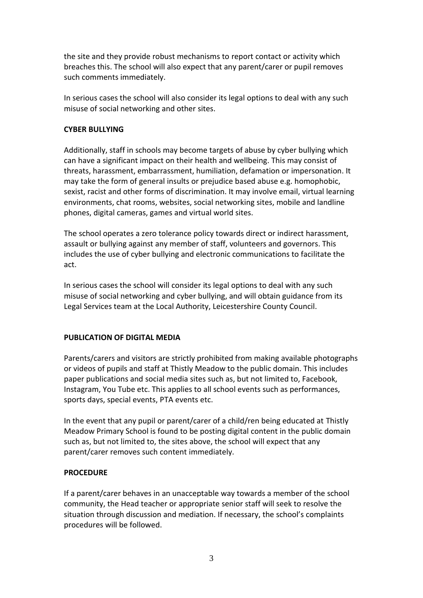the site and they provide robust mechanisms to report contact or activity which breaches this. The school will also expect that any parent/carer or pupil removes such comments immediately.

In serious cases the school will also consider its legal options to deal with any such misuse of social networking and other sites.

#### **CYBER BULLYING**

Additionally, staff in schools may become targets of abuse by cyber bullying which can have a significant impact on their health and wellbeing. This may consist of threats, harassment, embarrassment, humiliation, defamation or impersonation. It may take the form of general insults or prejudice based abuse e.g. homophobic, sexist, racist and other forms of discrimination. It may involve email, virtual learning environments, chat rooms, websites, social networking sites, mobile and landline phones, digital cameras, games and virtual world sites.

The school operates a zero tolerance policy towards direct or indirect harassment, assault or bullying against any member of staff, volunteers and governors. This includes the use of cyber bullying and electronic communications to facilitate the act.

In serious cases the school will consider its legal options to deal with any such misuse of social networking and cyber bullying, and will obtain guidance from its Legal Services team at the Local Authority, Leicestershire County Council.

## **PUBLICATION OF DIGITAL MEDIA**

Parents/carers and visitors are strictly prohibited from making available photographs or videos of pupils and staff at Thistly Meadow to the public domain. This includes paper publications and social media sites such as, but not limited to, Facebook, Instagram, You Tube etc. This applies to all school events such as performances, sports days, special events, PTA events etc.

In the event that any pupil or parent/carer of a child/ren being educated at Thistly Meadow Primary School is found to be posting digital content in the public domain such as, but not limited to, the sites above, the school will expect that any parent/carer removes such content immediately.

## **PROCEDURE**

If a parent/carer behaves in an unacceptable way towards a member of the school community, the Head teacher or appropriate senior staff will seek to resolve the situation through discussion and mediation. If necessary, the school's complaints procedures will be followed.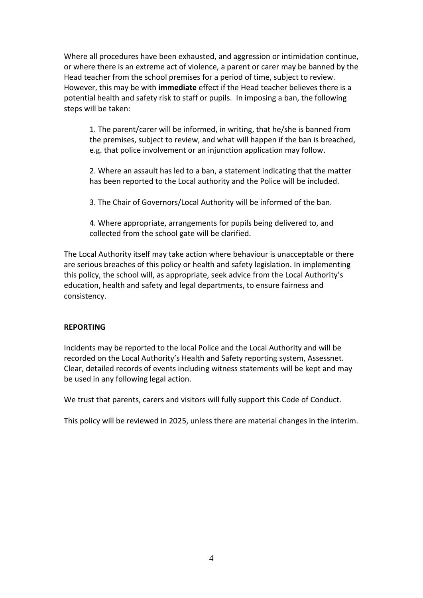Where all procedures have been exhausted, and aggression or intimidation continue, or where there is an extreme act of violence, a parent or carer may be banned by the Head teacher from the school premises for a period of time, subject to review. However, this may be with **immediate** effect if the Head teacher believes there is a potential health and safety risk to staff or pupils. In imposing a ban, the following steps will be taken:

1. The parent/carer will be informed, in writing, that he/she is banned from the premises, subject to review, and what will happen if the ban is breached, e.g. that police involvement or an injunction application may follow.

2. Where an assault has led to a ban, a statement indicating that the matter has been reported to the Local authority and the Police will be included.

3. The Chair of Governors/Local Authority will be informed of the ban.

4. Where appropriate, arrangements for pupils being delivered to, and collected from the school gate will be clarified.

The Local Authority itself may take action where behaviour is unacceptable or there are serious breaches of this policy or health and safety legislation. In implementing this policy, the school will, as appropriate, seek advice from the Local Authority's education, health and safety and legal departments, to ensure fairness and consistency.

#### **REPORTING**

Incidents may be reported to the local Police and the Local Authority and will be recorded on the Local Authority's Health and Safety reporting system, Assessnet. Clear, detailed records of events including witness statements will be kept and may be used in any following legal action.

We trust that parents, carers and visitors will fully support this Code of Conduct.

This policy will be reviewed in 2025, unless there are material changes in the interim.